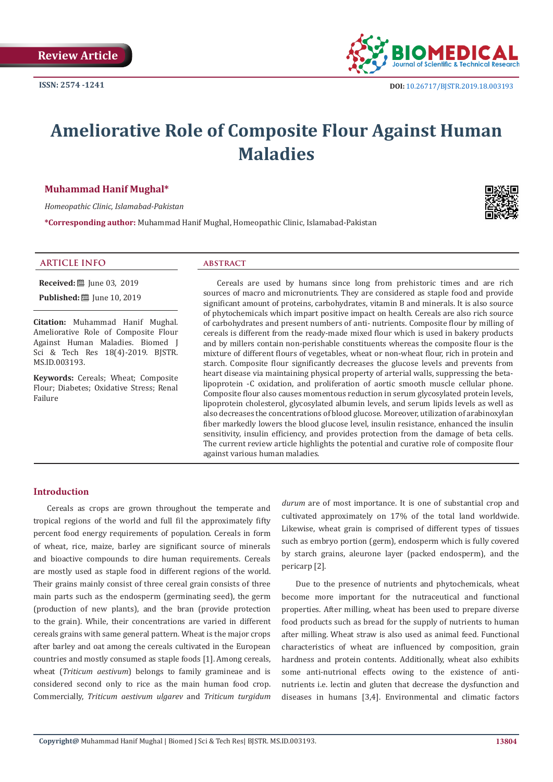

# **Ameliorative Role of Composite Flour Against Human Maladies**

## **Muhammad Hanif Mughal\***

*Homeopathic Clinic, Islamabad-Pakistan*

**\*Corresponding author:** Muhammad Hanif Mughal, Homeopathic Clinic, Islamabad-Pakistan



## **ARTICLE INFO abstract**

**Received:** ■ June 03, 2019

**Published:** [10, 2019]

**Citation:** Muhammad Hanif Mughal. Ameliorative Role of Composite Flour Against Human Maladies. Biomed J Sci & Tech Res 18(4)-2019. BJSTR. MS.ID.003193.

**Keywords:** Cereals; Wheat; Composite Flour; Diabetes; Oxidative Stress; Renal Failure

Cereals are used by humans since long from prehistoric times and are rich sources of macro and micronutrients. They are considered as staple food and provide significant amount of proteins, carbohydrates, vitamin B and minerals. It is also source of phytochemicals which impart positive impact on health. Cereals are also rich source of carbohydrates and present numbers of anti- nutrients. Composite flour by milling of cereals is different from the ready-made mixed flour which is used in bakery products and by millers contain non-perishable constituents whereas the composite flour is the mixture of different flours of vegetables, wheat or non-wheat flour, rich in protein and starch. Composite flour significantly decreases the glucose levels and prevents from heart disease via maintaining physical property of arterial walls, suppressing the betalipoprotein -C oxidation, and proliferation of aortic smooth muscle cellular phone. Composite flour also causes momentous reduction in serum glycosylated protein levels, lipoprotein cholesterol, glycosylated albumin levels, and serum lipids levels as well as also decreases the concentrations of blood glucose. Moreover, utilization of arabinoxylan fiber markedly lowers the blood glucose level, insulin resistance, enhanced the insulin sensitivity, insulin efficiency, and provides protection from the damage of beta cells. The current review article highlights the potential and curative role of composite flour against various human maladies.

## **Introduction**

Cereals as crops are grown throughout the temperate and tropical regions of the world and full fil the approximately fifty percent food energy requirements of population. Cereals in form of wheat, rice, maize, barley are significant source of minerals and bioactive compounds to dire human requirements. Cereals are mostly used as staple food in different regions of the world. Their grains mainly consist of three cereal grain consists of three main parts such as the endosperm (germinating seed), the germ (production of new plants), and the bran (provide protection to the grain). While, their concentrations are varied in different cereals grains with same general pattern. Wheat is the major crops after barley and oat among the cereals cultivated in the European countries and mostly consumed as staple foods [1]. Among cereals, wheat (*Triticum aestivum*) belongs to family gramineae and is considered second only to rice as the main human food crop. Commercially, *Triticum aestivum ulgarev* and *Triticum turgidum* 

*durum* are of most importance. It is one of substantial crop and cultivated approximately on 17% of the total land worldwide. Likewise, wheat grain is comprised of different types of tissues such as embryo portion (germ), endosperm which is fully covered by starch grains, aleurone layer (packed endosperm), and the pericarp [2].

Due to the presence of nutrients and phytochemicals, wheat become more important for the nutraceutical and functional properties. After milling, wheat has been used to prepare diverse food products such as bread for the supply of nutrients to human after milling. Wheat straw is also used as animal feed. Functional characteristics of wheat are influenced by composition, grain hardness and protein contents. Additionally, wheat also exhibits some anti-nutrional effects owing to the existence of antinutrients i.e. lectin and gluten that decrease the dysfunction and diseases in humans [3,4]. Environmental and climatic factors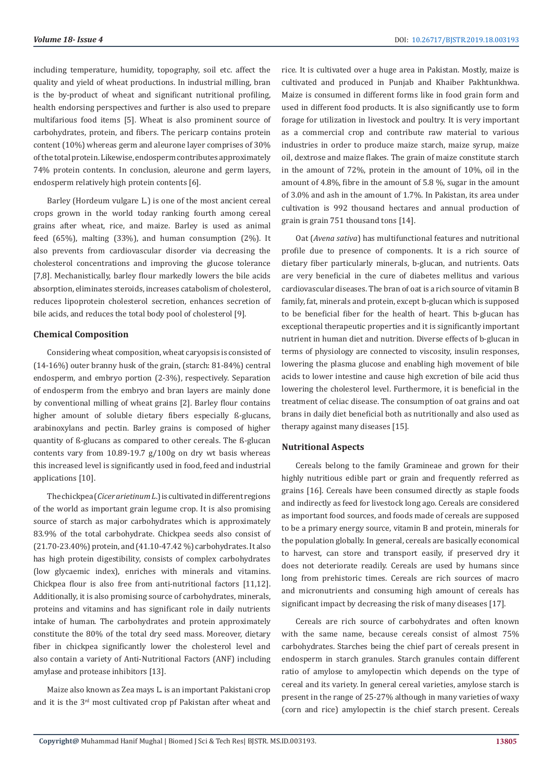including temperature, humidity, topography, soil etc. affect the quality and yield of wheat productions. In industrial milling, bran is the by-product of wheat and significant nutritional profiling, health endorsing perspectives and further is also used to prepare multifarious food items [5]. Wheat is also prominent source of carbohydrates, protein, and fibers. The pericarp contains protein content (10%) whereas germ and aleurone layer comprises of 30% of the total protein. Likewise, endosperm contributes approximately 74% protein contents. In conclusion, aleurone and germ layers, endosperm relatively high protein contents [6].

Barley (Hordeum vulgare L.) is one of the most ancient cereal crops grown in the world today ranking fourth among cereal grains after wheat, rice, and maize. Barley is used as animal feed (65%), malting (33%), and human consumption (2%). It also prevents from cardiovascular disorder via decreasing the cholesterol concentrations and improving the glucose tolerance [7,8]. Mechanistically, barley flour markedly lowers the bile acids absorption, eliminates steroids, increases catabolism of cholesterol, reduces lipoprotein cholesterol secretion, enhances secretion of bile acids, and reduces the total body pool of cholesterol [9].

# **Chemical Composition**

Considering wheat composition, wheat caryopsis is consisted of (14-16%) outer branny husk of the grain, (starch: 81-84%) central endosperm, and embryo portion (2-3%), respectively. Separation of endosperm from the embryo and bran layers are mainly done by conventional milling of wheat grains [2]. Barley flour contains higher amount of soluble dietary fibers especially ß-glucans, arabinoxylans and pectin. Barley grains is composed of higher quantity of ß-glucans as compared to other cereals. The ß-glucan contents vary from 10.89-19.7 g/100g on dry wt basis whereas this increased level is significantly used in food, feed and industrial applications [10].

The chickpea (*Cicer arietinum L*.) is cultivated in different regions of the world as important grain legume crop. It is also promising source of starch as major carbohydrates which is approximately 83.9% of the total carbohydrate. Chickpea seeds also consist of (21.70-23.40%) protein, and (41.10-47.42 %) carbohydrates. It also has high protein digestibility, consists of complex carbohydrates (low glycaemic index), enriches with minerals and vitamins. Chickpea flour is also free from anti-nutritional factors [11,12]. Additionally, it is also promising source of carbohydrates, minerals, proteins and vitamins and has significant role in daily nutrients intake of human. The carbohydrates and protein approximately constitute the 80% of the total dry seed mass. Moreover, dietary fiber in chickpea significantly lower the cholesterol level and also contain a variety of Anti-Nutritional Factors (ANF) including amylase and protease inhibitors [13].

Maize also known as Zea mays L. is an important Pakistani crop and it is the 3rd most cultivated crop pf Pakistan after wheat and rice. It is cultivated over a huge area in Pakistan. Mostly, maize is cultivated and produced in Punjab and Khaiber Pakhtunkhwa. Maize is consumed in different forms like in food grain form and used in different food products. It is also significantly use to form forage for utilization in livestock and poultry. It is very important as a commercial crop and contribute raw material to various industries in order to produce maize starch, maize syrup, maize oil, dextrose and maize flakes. The grain of maize constitute starch in the amount of 72%, protein in the amount of 10%, oil in the amount of 4.8%, fibre in the amount of 5.8 %, sugar in the amount of 3.0% and ash in the amount of 1.7%. In Pakistan, its area under cultivation is 992 thousand hectares and annual production of grain is grain 751 thousand tons [14].

Oat (*Avena sativa*) has multifunctional features and nutritional profile due to presence of components. It is a rich source of dietary fiber particularly minerals, b-glucan, and nutrients. Oats are very beneficial in the cure of diabetes mellitus and various cardiovascular diseases. The bran of oat is a rich source of vitamin B family, fat, minerals and protein, except b-glucan which is supposed to be beneficial fiber for the health of heart. This b-glucan has exceptional therapeutic properties and it is significantly important nutrient in human diet and nutrition. Diverse effects of b-glucan in terms of physiology are connected to viscosity, insulin responses, lowering the plasma glucose and enabling high movement of bile acids to lower intestine and cause high excretion of bile acid thus lowering the cholesterol level. Furthermore, it is beneficial in the treatment of celiac disease. The consumption of oat grains and oat brans in daily diet beneficial both as nutritionally and also used as therapy against many diseases [15].

# **Nutritional Aspects**

Cereals belong to the family Gramineae and grown for their highly nutritious edible part or grain and frequently referred as grains [16]. Cereals have been consumed directly as staple foods and indirectly as feed for livestock long ago. Cereals are considered as important food sources, and foods made of cereals are supposed to be a primary energy source, vitamin B and protein, minerals for the population globally. In general, cereals are basically economical to harvest, can store and transport easily, if preserved dry it does not deteriorate readily. Cereals are used by humans since long from prehistoric times. Cereals are rich sources of macro and micronutrients and consuming high amount of cereals has significant impact by decreasing the risk of many diseases [17].

Cereals are rich source of carbohydrates and often known with the same name, because cereals consist of almost 75% carbohydrates. Starches being the chief part of cereals present in endosperm in starch granules. Starch granules contain different ratio of amylose to amylopectin which depends on the type of cereal and its variety. In general cereal varieties, amylose starch is present in the range of 25-27% although in many varieties of waxy (corn and rice) amylopectin is the chief starch present. Cereals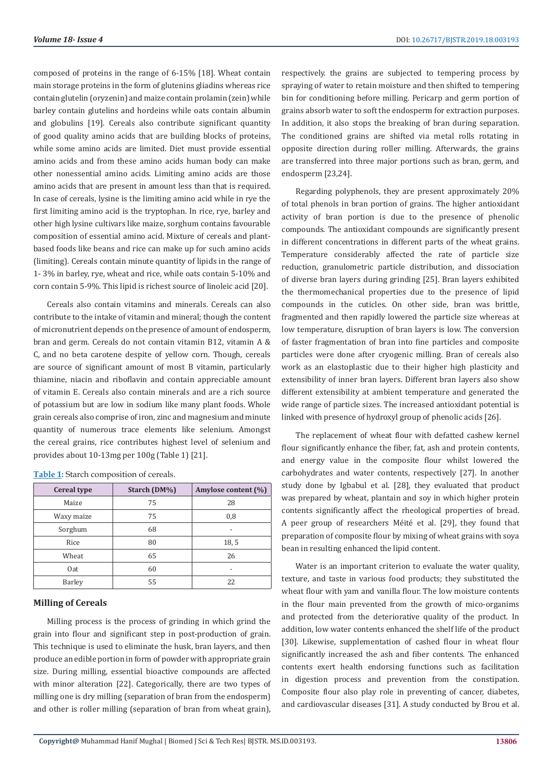composed of proteins in the range of 6-15% [18]. Wheat contain main storage proteins in the form of glutenins gliadins whereas rice contain glutelin (oryzenin) and maize contain prolamin (zein) while barley contain glutelins and hordeins while oats contain albumin and globulins [19]. Cereals also contribute significant quantity of good quality amino acids that are building blocks of proteins, while some amino acids are limited. Diet must provide essential amino acids and from these amino acids human body can make other nonessential amino acids. Limiting amino acids are those amino acids that are present in amount less than that is required. In case of cereals, lysine is the limiting amino acid while in rye the first limiting amino acid is the tryptophan. In rice, rye, barley and other high lysine cultivars like maize, sorghum contains favourable composition of essential amino acid. Mixture of cereals and plantbased foods like beans and rice can make up for such amino acids (limiting). Cereals contain minute quantity of lipids in the range of 1- 3% in barley, rye, wheat and rice, while oats contain 5-10% and corn contain 5-9%. This lipid is richest source of linoleic acid [20].

Cereals also contain vitamins and minerals. Cereals can also contribute to the intake of vitamin and mineral; though the content of micronutrient depends on the presence of amount of endosperm, bran and germ. Cereals do not contain vitamin B12, vitamin A & C, and no beta carotene despite of yellow corn. Though, cereals are source of significant amount of most B vitamin, particularly thiamine, niacin and riboflavin and contain appreciable amount of vitamin E. Cereals also contain minerals and are a rich source of potassium but are low in sodium like many plant foods. Whole grain cereals also comprise of iron, zinc and magnesium and minute quantity of numerous trace elements like selenium. Amongst the cereal grains, rice contributes highest level of selenium and provides about 10-13mg per 100g (Table 1) [21].

| <b>Cereal type</b> | Starch (DM%) | Amylose content (%) |
|--------------------|--------------|---------------------|
| Maize              | 75           | 28                  |
| Waxy maize         | 75           | 0,8                 |
| Sorghum            | 68           |                     |
| Rice               | 80           | 18.5                |
| Wheat              | 65           | 26                  |
| Oat                | 60           |                     |
| Barley             | 55           | 22                  |

**Table 1:** Starch composition of cereals.

# **Milling of Cereals**

Milling process is the process of grinding in which grind the grain into flour and significant step in post-production of grain. This technique is used to eliminate the husk, bran layers, and then produce an edible portion in form of powder with appropriate grain size. During milling, essential bioactive compounds are affected with minor alteration [22]. Categorically, there are two types of milling one is dry milling (separation of bran from the endosperm) and other is roller milling (separation of bran from wheat grain),

respectively. the grains are subjected to tempering process by spraying of water to retain moisture and then shifted to tempering bin for conditioning before milling. Pericarp and germ portion of grains absorb water to soft the endosperm for extraction purposes. In addition, it also stops the breaking of bran during separation. The conditioned grains are shifted via metal rolls rotating in opposite direction during roller milling. Afterwards, the grains are transferred into three major portions such as bran, germ, and endosperm [23,24].

Regarding polyphenols, they are present approximately 20% of total phenols in bran portion of grains. The higher antioxidant activity of bran portion is due to the presence of phenolic compounds. The antioxidant compounds are significantly present in different concentrations in different parts of the wheat grains. Temperature considerably affected the rate of particle size reduction, granulometric particle distribution, and dissociation of diverse bran layers during grinding [25]. Bran layers exhibited the thermomechanical properties due to the presence of lipid compounds in the cuticles. On other side, bran was brittle, fragmented and then rapidly lowered the particle size whereas at low temperature, disruption of bran layers is low. The conversion of faster fragmentation of bran into fine particles and composite particles were done after cryogenic milling. Bran of cereals also work as an elastoplastic due to their higher high plasticity and extensibility of inner bran layers. Different bran layers also show different extensibility at ambient temperature and generated the wide range of particle sizes. The increased antioxidant potential is linked with presence of hydroxyl group of phenolic acids [26].

The replacement of wheat flour with defatted cashew kernel flour significantly enhance the fiber, fat, ash and protein contents, and energy value in the composite flour whilst lowered the carbohydrates and water contents, respectively [27]. In another study done by Igbabul et al. [28], they evaluated that product was prepared by wheat, plantain and soy in which higher protein contents significantly affect the rheological properties of bread. A peer group of researchers Méité et al. [29], they found that preparation of composite flour by mixing of wheat grains with soya bean in resulting enhanced the lipid content.

Water is an important criterion to evaluate the water quality. texture, and taste in various food products; they substituted the wheat flour with yam and vanilla flour. The low moisture contents in the flour main prevented from the growth of mico-organims and protected from the deteriorative quality of the product. In addition, low water contents enhanced the shelf life of the product [30]. Likewise, supplementation of cashed flour in wheat flour significantly increased the ash and fiber contents. The enhanced contents exert health endorsing functions such as facilitation in digestion process and prevention from the constipation. Composite flour also play role in preventing of cancer, diabetes, and cardiovascular diseases [31]. A study conducted by Brou et al.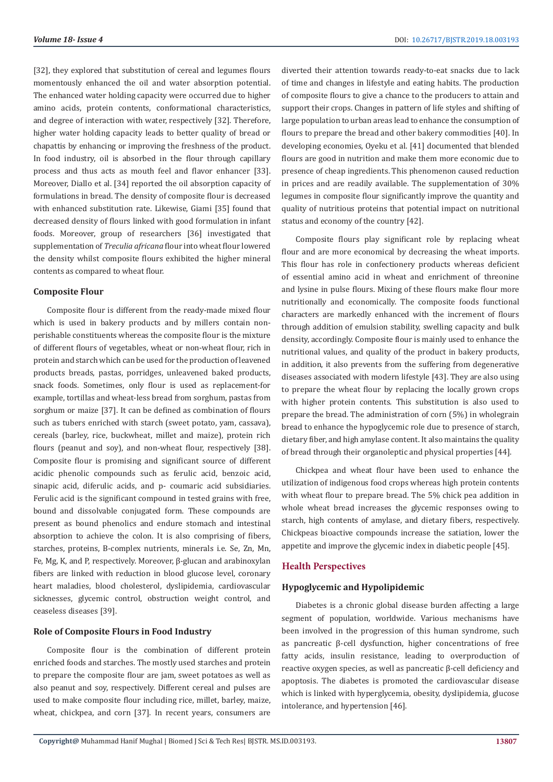[32], they explored that substitution of cereal and legumes flours momentously enhanced the oil and water absorption potential. The enhanced water holding capacity were occurred due to higher amino acids, protein contents, conformational characteristics, and degree of interaction with water, respectively [32]. Therefore, higher water holding capacity leads to better quality of bread or chapattis by enhancing or improving the freshness of the product. In food industry, oil is absorbed in the flour through capillary process and thus acts as mouth feel and flavor enhancer [33]. Moreover, Diallo et al. [34] reported the oil absorption capacity of formulations in bread. The density of composite flour is decreased with enhanced substitution rate. Likewise, Giami [35] found that decreased density of flours linked with good formulation in infant foods. Moreover, group of researchers [36] investigated that supplementation of *Treculia africana* flour into wheat flour lowered the density whilst composite flours exhibited the higher mineral contents as compared to wheat flour.

## **Composite Flour**

Composite flour is different from the ready-made mixed flour which is used in bakery products and by millers contain nonperishable constituents whereas the composite flour is the mixture of different flours of vegetables, wheat or non-wheat flour, rich in protein and starch which can be used for the production of leavened products breads, pastas, porridges, unleavened baked products, snack foods. Sometimes, only flour is used as replacement-for example, tortillas and wheat-less bread from sorghum, pastas from sorghum or maize [37]. It can be defined as combination of flours such as tubers enriched with starch (sweet potato, yam, cassava), cereals (barley, rice, buckwheat, millet and maize), protein rich flours (peanut and soy), and non-wheat flour, respectively [38]. Composite flour is promising and significant source of different acidic phenolic compounds such as ferulic acid, benzoic acid, sinapic acid, diferulic acids, and p- coumaric acid subsidiaries. Ferulic acid is the significant compound in tested grains with free, bound and dissolvable conjugated form. These compounds are present as bound phenolics and endure stomach and intestinal absorption to achieve the colon. It is also comprising of fibers, starches, proteins, B-complex nutrients, minerals i.e. Se, Zn, Mn, Fe, Mg, K, and P, respectively. Moreover, β-glucan and arabinoxylan fibers are linked with reduction in blood glucose level, coronary heart maladies, blood cholesterol, dyslipidemia, cardiovascular sicknesses, glycemic control, obstruction weight control, and ceaseless diseases [39].

## **Role of Composite Flours in Food Industry**

Composite flour is the combination of different protein enriched foods and starches. The mostly used starches and protein to prepare the composite flour are jam, sweet potatoes as well as also peanut and soy, respectively. Different cereal and pulses are used to make composite flour including rice, millet, barley, maize, wheat, chickpea, and corn [37]. In recent years, consumers are

diverted their attention towards ready-to-eat snacks due to lack of time and changes in lifestyle and eating habits. The production of composite flours to give a chance to the producers to attain and support their crops. Changes in pattern of life styles and shifting of large population to urban areas lead to enhance the consumption of flours to prepare the bread and other bakery commodities [40]. In developing economies, Oyeku et al. [41] documented that blended flours are good in nutrition and make them more economic due to presence of cheap ingredients. This phenomenon caused reduction in prices and are readily available. The supplementation of 30% legumes in composite flour significantly improve the quantity and quality of nutritious proteins that potential impact on nutritional status and economy of the country [42].

Composite flours play significant role by replacing wheat flour and are more economical by decreasing the wheat imports. This flour has role in confectionery products whereas deficient of essential amino acid in wheat and enrichment of threonine and lysine in pulse flours. Mixing of these flours make flour more nutritionally and economically. The composite foods functional characters are markedly enhanced with the increment of flours through addition of emulsion stability, swelling capacity and bulk density, accordingly. Composite flour is mainly used to enhance the nutritional values, and quality of the product in bakery products, in addition, it also prevents from the suffering from degenerative diseases associated with modern lifestyle [43]. They are also using to prepare the wheat flour by replacing the locally grown crops with higher protein contents. This substitution is also used to prepare the bread. The administration of corn (5%) in wholegrain bread to enhance the hypoglycemic role due to presence of starch, dietary fiber, and high amylase content. It also maintains the quality of bread through their organoleptic and physical properties [44].

Chickpea and wheat flour have been used to enhance the utilization of indigenous food crops whereas high protein contents with wheat flour to prepare bread. The 5% chick pea addition in whole wheat bread increases the glycemic responses owing to starch, high contents of amylase, and dietary fibers, respectively. Chickpeas bioactive compounds increase the satiation, lower the appetite and improve the glycemic index in diabetic people [45].

# **Health Perspectives**

# **Hypoglycemic and Hypolipidemic**

Diabetes is a chronic global disease burden affecting a large segment of population, worldwide. Various mechanisms have been involved in the progression of this human syndrome, such as pancreatic β-cell dysfunction, higher concentrations of free fatty acids, insulin resistance, leading to overproduction of reactive oxygen species, as well as pancreatic β-cell deficiency and apoptosis. The diabetes is promoted the cardiovascular disease which is linked with hyperglycemia, obesity, dyslipidemia, glucose intolerance, and hypertension [46].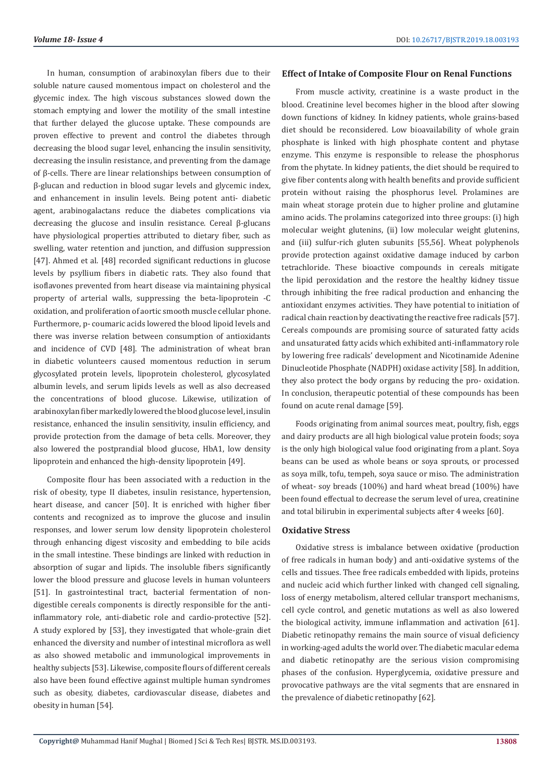In human, consumption of arabinoxylan fibers due to their soluble nature caused momentous impact on cholesterol and the glycemic index. The high viscous substances slowed down the stomach emptying and lower the motility of the small intestine that further delayed the glucose uptake. These compounds are proven effective to prevent and control the diabetes through decreasing the blood sugar level, enhancing the insulin sensitivity, decreasing the insulin resistance, and preventing from the damage of β-cells. There are linear relationships between consumption of β-glucan and reduction in blood sugar levels and glycemic index, and enhancement in insulin levels. Being potent anti- diabetic agent, arabinogalactans reduce the diabetes complications via decreasing the glucose and insulin resistance. Cereal β-glucans have physiological properties attributed to dietary fiber, such as swelling, water retention and junction, and diffusion suppression [47]. Ahmed et al. [48] recorded significant reductions in glucose levels by psyllium fibers in diabetic rats. They also found that isoflavones prevented from heart disease via maintaining physical property of arterial walls, suppressing the beta-lipoprotein -C oxidation, and proliferation of aortic smooth muscle cellular phone. Furthermore, p- coumaric acids lowered the blood lipoid levels and there was inverse relation between consumption of antioxidants and incidence of CVD [48]. The administration of wheat bran in diabetic volunteers caused momentous reduction in serum glycosylated protein levels, lipoprotein cholesterol, glycosylated albumin levels, and serum lipids levels as well as also decreased the concentrations of blood glucose. Likewise, utilization of arabinoxylan fiber markedly lowered the blood glucose level, insulin resistance, enhanced the insulin sensitivity, insulin efficiency, and provide protection from the damage of beta cells. Moreover, they also lowered the postprandial blood glucose, HbA1, low density lipoprotein and enhanced the high-density lipoprotein [49].

Composite flour has been associated with a reduction in the risk of obesity, type II diabetes, insulin resistance, hypertension, heart disease, and cancer [50]. It is enriched with higher fiber contents and recognized as to improve the glucose and insulin responses, and lower serum low density lipoprotein cholesterol through enhancing digest viscosity and embedding to bile acids in the small intestine. These bindings are linked with reduction in absorption of sugar and lipids. The insoluble fibers significantly lower the blood pressure and glucose levels in human volunteers [51]. In gastrointestinal tract, bacterial fermentation of nondigestible cereals components is directly responsible for the antiinflammatory role, anti-diabetic role and cardio-protective [52]. A study explored by [53], they investigated that whole-grain diet enhanced the diversity and number of intestinal microflora as well as also showed metabolic and immunological improvements in healthy subjects [53]. Likewise, composite flours of different cereals also have been found effective against multiple human syndromes such as obesity, diabetes, cardiovascular disease, diabetes and obesity in human [54].

## **Effect of Intake of Composite Flour on Renal Functions**

From muscle activity, creatinine is a waste product in the blood. Creatinine level becomes higher in the blood after slowing down functions of kidney. In kidney patients, whole grains-based diet should be reconsidered. Low bioavailability of whole grain phosphate is linked with high phosphate content and phytase enzyme. This enzyme is responsible to release the phosphorus from the phytate. In kidney patients, the diet should be required to give fiber contents along with health benefits and provide sufficient protein without raising the phosphorus level. Prolamines are main wheat storage protein due to higher proline and glutamine amino acids. The prolamins categorized into three groups: (i) high molecular weight glutenins, (ii) low molecular weight glutenins, and (iii) sulfur-rich gluten subunits [55,56]. Wheat polyphenols provide protection against oxidative damage induced by carbon tetrachloride. These bioactive compounds in cereals mitigate the lipid peroxidation and the restore the healthy kidney tissue through inhibiting the free radical production and enhancing the antioxidant enzymes activities. They have potential to initiation of radical chain reaction by deactivating the reactive free radicals [57]. Cereals compounds are promising source of saturated fatty acids and unsaturated fatty acids which exhibited anti-inflammatory role by lowering free radicals' development and Nicotinamide Adenine Dinucleotide Phosphate (NADPH) oxidase activity [58]. In addition, they also protect the body organs by reducing the pro- oxidation. In conclusion, therapeutic potential of these compounds has been found on acute renal damage [59].

Foods originating from animal sources meat, poultry, fish, eggs and dairy products are all high biological value protein foods; soya is the only high biological value food originating from a plant. Soya beans can be used as whole beans or soya sprouts, or processed as soya milk, tofu, tempeh, soya sauce or miso. The administration of wheat- soy breads (100%) and hard wheat bread (100%) have been found effectual to decrease the serum level of urea, creatinine and total bilirubin in experimental subjects after 4 weeks [60].

### **Oxidative Stress**

Oxidative stress is imbalance between oxidative (production of free radicals in human body) and anti-oxidative systems of the cells and tissues. Thee free radicals embedded with lipids, proteins and nucleic acid which further linked with changed cell signaling, loss of energy metabolism, altered cellular transport mechanisms, cell cycle control, and genetic mutations as well as also lowered the biological activity, immune inflammation and activation [61]. Diabetic retinopathy remains the main source of visual deficiency in working-aged adults the world over. The diabetic macular edema and diabetic retinopathy are the serious vision compromising phases of the confusion. Hyperglycemia, oxidative pressure and provocative pathways are the vital segments that are ensnared in the prevalence of diabetic retinopathy [62].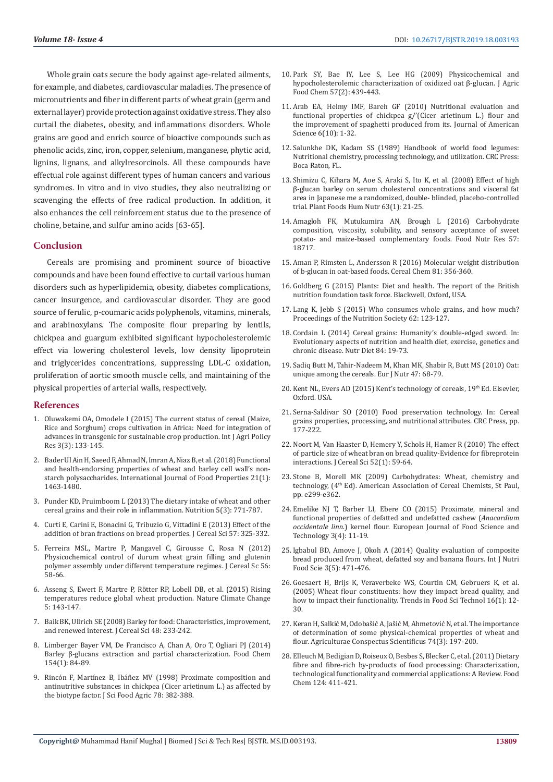Whole grain oats secure the body against age-related ailments, for example, and diabetes, cardiovascular maladies. The presence of micronutrients and fiber in different parts of wheat grain (germ and external layer) provide protection against oxidative stress. They also curtail the diabetes, obesity, and inflammations disorders. Whole grains are good and enrich source of bioactive compounds such as phenolic acids, zinc, iron, copper, selenium, manganese, phytic acid, lignins, lignans, and alkylresorcinols. All these compounds have effectual role against different types of human cancers and various syndromes. In vitro and in vivo studies, they also neutralizing or scavenging the effects of free radical production. In addition, it also enhances the cell reinforcement status due to the presence of choline, betaine, and sulfur amino acids [63-65].

## **Conclusion**

Cereals are promising and prominent source of bioactive compounds and have been found effective to curtail various human disorders such as hyperlipidemia, obesity, diabetes complications, cancer insurgence, and cardiovascular disorder. They are good source of ferulic, p-coumaric acids polyphenols, vitamins, minerals, and arabinoxylans. The composite flour preparing by lentils, chickpea and guargum exhibited significant hypocholesterolemic effect via lowering cholesterol levels, low density lipoprotein and triglycerides concentrations, suppressing LDL-C oxidation, proliferation of aortic smooth muscle cells, and maintaining of the physical properties of arterial walls, respectively.

### **References**

- 1. [Oluwakemi OA, Omodele I \(2015\) The current status of cereal \(Maize,](https://pdfs.semanticscholar.org/7b68/1a95b9164cecbc7c87201a843a78a8ac9920.pdf)  [Rice and Sorghum\) crops cultivation in Africa: Need for integration of](https://pdfs.semanticscholar.org/7b68/1a95b9164cecbc7c87201a843a78a8ac9920.pdf)  [advances in transgenic for sustainable crop production. Int J Agri Policy](https://pdfs.semanticscholar.org/7b68/1a95b9164cecbc7c87201a843a78a8ac9920.pdf)  [Res 3\(3\): 133-145.](https://pdfs.semanticscholar.org/7b68/1a95b9164cecbc7c87201a843a78a8ac9920.pdf)
- 2. [Bader Ul Ain H, Saeed F, Ahmad N, Imran A, Niaz B, et al. \(2018\) Functional](https://www.tandfonline.com/doi/full/10.1080/10942912.2018.1489837)  [and health-endorsing properties of wheat and barley cell wall's non](https://www.tandfonline.com/doi/full/10.1080/10942912.2018.1489837)[starch polysaccharides. International Journal of Food Properties 21\(1\):](https://www.tandfonline.com/doi/full/10.1080/10942912.2018.1489837)  [1463-1480.](https://www.tandfonline.com/doi/full/10.1080/10942912.2018.1489837)
- 3. [Punder KD, Pruimboom L \(2013\) The dietary intake of wheat and other](https://www.ncbi.nlm.nih.gov/pmc/articles/PMC3705319/)  [cereal grains and their role in inflammation. Nutrition 5\(3\): 771-787.](https://www.ncbi.nlm.nih.gov/pmc/articles/PMC3705319/)
- 4. [Curti E, Carini E, Bonacini G, Tribuzio G, Vittadini E \(2013\) Effect of the](https://www.sciencedirect.com/science/article/pii/S0733521012002597)  [addition of bran fractions on bread properties. J Cereal Sci 57: 325-332.](https://www.sciencedirect.com/science/article/pii/S0733521012002597)
- 5. [Ferreira MSL, Martre P, Mangavel C, Girousse C, Rosa N \(2012\)](https://www.sciencedirect.com/science/article/pii/S0733521011001998)  [Physicochemical control of durum wheat grain filling and glutenin](https://www.sciencedirect.com/science/article/pii/S0733521011001998)  [polymer assembly under different temperature regimes. J Cereal Sc 56:](https://www.sciencedirect.com/science/article/pii/S0733521011001998)  [58-66.](https://www.sciencedirect.com/science/article/pii/S0733521011001998)
- 6. [Asseng S, Ewert F, Martre P, Rötter RP, Lobell DB, et al. \(2015\) Rising](https://www.nature.com/articles/nclimate2470)  [temperatures reduce global wheat production. Nature Climate Change](https://www.nature.com/articles/nclimate2470)  [5: 143-147.](https://www.nature.com/articles/nclimate2470)
- 7. [Baik BK, Ullrich SE \(2008\) Barley for food: Characteristics, improvement,](https://www.sciencedirect.com/science/article/pii/S0733521008000283)  [and renewed interest. J Cereal Sci 48: 233-242.](https://www.sciencedirect.com/science/article/pii/S0733521008000283)
- 8. [Limberger Bayer VM, De Francisco A, Chan A, Oro T, Ogliari PJ \(2014\)](https://www.ncbi.nlm.nih.gov/pubmed/24518319)  [Barley β-glucans extraction and partial characterization. Food Chem](https://www.ncbi.nlm.nih.gov/pubmed/24518319)  [154\(1\): 84-89.](https://www.ncbi.nlm.nih.gov/pubmed/24518319)
- 9. [Rincón F, Martínez B, Ibáñez MV \(1998\) Proximate composition and](https://onlinelibrary.wiley.com/doi/abs/10.1002/%28SICI%291097-0010%28199811%2978%3A3%3C382%3A%3AAID-JSFA128%3E3.0.CO%3B2-J)  [antinutritive substances in chickpea \(Cicer arietinum L.\) as affected by](https://onlinelibrary.wiley.com/doi/abs/10.1002/%28SICI%291097-0010%28199811%2978%3A3%3C382%3A%3AAID-JSFA128%3E3.0.CO%3B2-J)  [the biotype factor. J Sci Food Agric 78: 382-388.](https://onlinelibrary.wiley.com/doi/abs/10.1002/%28SICI%291097-0010%28199811%2978%3A3%3C382%3A%3AAID-JSFA128%3E3.0.CO%3B2-J)
- 10. [Park SY, Bae IY, Lee S, Lee HG \(2009\) Physicochemical and](https://www.ncbi.nlm.nih.gov/pubmed/19119839) [hypocholesterolemic characterization of oxidized oat β-glucan. J Agric](https://www.ncbi.nlm.nih.gov/pubmed/19119839) [Food Chem 57\(2\): 439-443.](https://www.ncbi.nlm.nih.gov/pubmed/19119839)
- 11. [Arab EA, Helmy IMF, Bareh GF \(2010\) Nutritional evaluation and](https://pdfs.semanticscholar.org/d3bb/d905173045e32e243ec0afd88114ae3e3363.pdf) [functional properties of chickpea g/'\(Cicer arietinum L.\) flour and](https://pdfs.semanticscholar.org/d3bb/d905173045e32e243ec0afd88114ae3e3363.pdf) [the improvement of spaghetti produced from its. Journal of American](https://pdfs.semanticscholar.org/d3bb/d905173045e32e243ec0afd88114ae3e3363.pdf) [Science 6\(10\): 1-32.](https://pdfs.semanticscholar.org/d3bb/d905173045e32e243ec0afd88114ae3e3363.pdf)
- 12. [Salunkhe DK, Kadam SS \(1989\) Handbook of world food legumes:](https://www.cabdirect.org/cabdirect/abstract/19901453366) [Nutritional chemistry, processing technology, and utilization. CRC Press:](https://www.cabdirect.org/cabdirect/abstract/19901453366) [Boca Raton, FL.](https://www.cabdirect.org/cabdirect/abstract/19901453366)
- 13. [Shimizu C, Kihara M, Aoe S, Araki S, Ito K, et al. \(2008\) Effect of high](https://www.ncbi.nlm.nih.gov/pubmed/18074229) [β-glucan barley on serum cholesterol concentrations and visceral fat](https://www.ncbi.nlm.nih.gov/pubmed/18074229) [area in Japanese me a randomized, double- blinded, placebo-controlled](https://www.ncbi.nlm.nih.gov/pubmed/18074229) [trial. Plant Foods Hum Nutr 63\(1\): 21-25.](https://www.ncbi.nlm.nih.gov/pubmed/18074229)
- 14. [Amagloh FK, Mutukumira AN, Brough L \(2016\) Carbohydrate](https://www.ncbi.nlm.nih.gov/pmc/articles/PMC3600427/) [composition, viscosity, solubility, and sensory acceptance of sweet](https://www.ncbi.nlm.nih.gov/pmc/articles/PMC3600427/) [potato- and maize-based complementary foods. Food Nutr Res 57:](https://www.ncbi.nlm.nih.gov/pmc/articles/PMC3600427/) [18717.](https://www.ncbi.nlm.nih.gov/pmc/articles/PMC3600427/)
- 15. [Aman P, Rimsten L, Andersson R \(2016\) Molecular weight distribution](https://onlinelibrary.wiley.com/doi/abs/10.1094/CCHEM.2004.81.3.356) [of b-glucan in oat-based foods. Cereal Chem 81: 356-360.](https://onlinelibrary.wiley.com/doi/abs/10.1094/CCHEM.2004.81.3.356)
- 16. Goldberg G (2015) Plants: Diet and health. The report of the British nutrition foundation task force. Blackwell, Oxford, USA.
- 17. Lang K, Jebb S (2015) Who consumes whole grains, and how much? Proceedings of the Nutrition Society 62: 123-127.
- 18. [Cordain L \(2014\) Cereal grains: Humanity's double-edged sword. In:](https://pdfs.semanticscholar.org/ba07/b6e9f3cb6e77239d0e81de9aee8173595403.pdf) [Evolutionary aspects of nutrition and health diet, exercise, genetics and](https://pdfs.semanticscholar.org/ba07/b6e9f3cb6e77239d0e81de9aee8173595403.pdf) [chronic disease. Nutr Diet 84: 19-73.](https://pdfs.semanticscholar.org/ba07/b6e9f3cb6e77239d0e81de9aee8173595403.pdf)
- 19. [Sadiq Butt M, Tahir-Nadeem M, Khan MK, Shabir R, Butt MS \(2010\) Oat:](https://www.ncbi.nlm.nih.gov/pubmed/18301937) [unique among the cereals. Eur J Nutr 47: 68-79.](https://www.ncbi.nlm.nih.gov/pubmed/18301937)
- 20. Kent NL, Evers AD (2015) Kent's technology of cereals, 19th Ed. Elsevier, Oxford. USA.
- 21. Serna-Saldivar SO (2010) Food preservation technology. In: Cereal grains properties, processing, and nutritional attributes. CRC Press, pp. 177-222.
- 22. [Noort M, Van Haaster D, Hemery Y, Schols H, Hamer R \(2010\) The effect](https://www.sciencedirect.com/science/article/pii/S0733521010000524) [of particle size of wheat bran on bread quality-Evidence for fibreprotein](https://www.sciencedirect.com/science/article/pii/S0733521010000524) [interactions. J Cereal Sci 52\(1\): 59-64.](https://www.sciencedirect.com/science/article/pii/S0733521010000524)
- 23. Stone B, Morell MK (2009) Carbohydrates: Wheat, chemistry and technology, (4th Ed). American Association of Cereal Chemists, St Paul, pp. e299-e362.
- 24. [Emelike NJ T, Barber LI, Ebere CO \(2015\) Proximate, mineral and](https://www.eajournals.org/journals/european-journal-of-food-science-and-technology-ejfst/vol-3-issue-5-november-2015/proximate-mineral-and-functional-properties-of-defatted-and-undefatted-cashew-anacardium-occidentale-linn-kernel-flour/) [functional properties of defatted and undefatted cashew \(](https://www.eajournals.org/journals/european-journal-of-food-science-and-technology-ejfst/vol-3-issue-5-november-2015/proximate-mineral-and-functional-properties-of-defatted-and-undefatted-cashew-anacardium-occidentale-linn-kernel-flour/)*Anacardium occidentale linn*[.\) kernel flour. European Journal of Food Science and](https://www.eajournals.org/journals/european-journal-of-food-science-and-technology-ejfst/vol-3-issue-5-november-2015/proximate-mineral-and-functional-properties-of-defatted-and-undefatted-cashew-anacardium-occidentale-linn-kernel-flour/) [Technology 3\(4\): 11-19.](https://www.eajournals.org/journals/european-journal-of-food-science-and-technology-ejfst/vol-3-issue-5-november-2015/proximate-mineral-and-functional-properties-of-defatted-and-undefatted-cashew-anacardium-occidentale-linn-kernel-flour/)
- 25. [Igbabul BD, Amove J, Okoh A \(2014\) Quality evaluation of composite](https://www.researchgate.net/publication/319339830_Quality_Evaluation_of_Composite_Bread_Produced_from_Wheat_Cassava_Plantain_Corn_and_Soy-bean_Flour_Blends) [bread produced from wheat, defatted soy and banana flours. Int J Nutri](https://www.researchgate.net/publication/319339830_Quality_Evaluation_of_Composite_Bread_Produced_from_Wheat_Cassava_Plantain_Corn_and_Soy-bean_Flour_Blends) [Food Scie 3\(5\): 471-476.](https://www.researchgate.net/publication/319339830_Quality_Evaluation_of_Composite_Bread_Produced_from_Wheat_Cassava_Plantain_Corn_and_Soy-bean_Flour_Blends)
- 26. [Goesaert H, Brijs K, Veraverbeke WS, Courtin CM, Gebruers K, et al.](https://www.sciencedirect.com/science/article/abs/pii/S0924224404001906) [\(2005\) Wheat flour constituents: how they impact bread quality, and](https://www.sciencedirect.com/science/article/abs/pii/S0924224404001906) [how to impact their functionality. Trends in Food Sci Technol 16\(1\): 12-](https://www.sciencedirect.com/science/article/abs/pii/S0924224404001906) [30.](https://www.sciencedirect.com/science/article/abs/pii/S0924224404001906)
- 27. [Keran H, Salkić M, Odobašić A, Jašić M, Ahmetović N, et al. The importance](https://acs.agr.hr/acs/index.php/acs/article/view/450) [of determination of some physical-chemical properties of wheat and](https://acs.agr.hr/acs/index.php/acs/article/view/450) [flour. Agriculturae Conspectus Scientificus 74\(3\): 197-200.](https://acs.agr.hr/acs/index.php/acs/article/view/450)
- 28. [Elleuch M, Bedigian D, Roiseux O, Besbes S, Blecker C, et al. \(2011\) Dietary](https://www.sciencedirect.com/science/article/pii/S0308814610007880) [fibre and fibre-rich by-products of food processing: Characterization,](https://www.sciencedirect.com/science/article/pii/S0308814610007880) [technological functionality and commercial applications: A Review. Food](https://www.sciencedirect.com/science/article/pii/S0308814610007880) [Chem 124: 411-421.](https://www.sciencedirect.com/science/article/pii/S0308814610007880)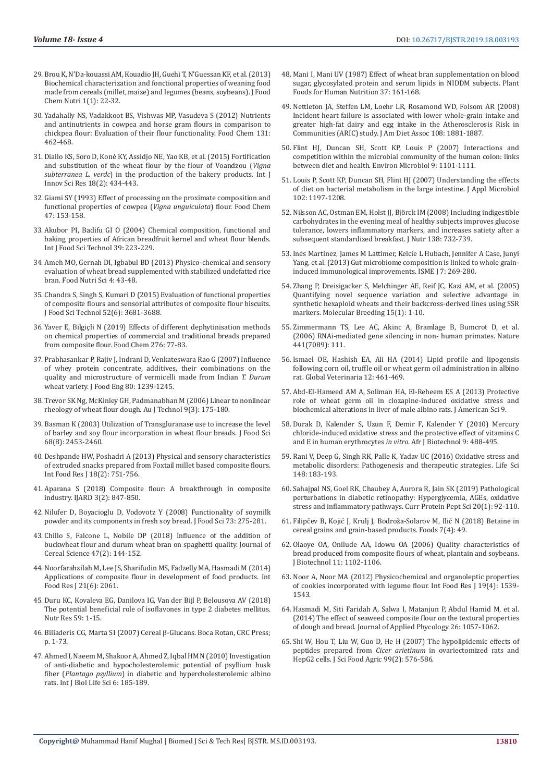- 29. [Brou K, N'Da-kouassi AM, Kouadio JH, Guehi T, N'Guessan KF, et al. \(2013\)](https://escijournals.net/index.php/JFCN/article/view/78)  [Biochemical characterization and fonctional properties of weaning food](https://escijournals.net/index.php/JFCN/article/view/78)  [made from cereals \(millet, maize\) and legumes \(beans, soybeans\). J Food](https://escijournals.net/index.php/JFCN/article/view/78)  [Chem Nutri 1\(1\): 22-32.](https://escijournals.net/index.php/JFCN/article/view/78)
- 30. [Yadahally NS, Vadakkoot BS, Vishwas MP, Vasudeva S \(2012\) Nutrients](https://www.sciencedirect.com/science/article/pii/S0308814611012647)  [and antinutrients in cowpea and horse gram flours in comparison to](https://www.sciencedirect.com/science/article/pii/S0308814611012647)  [chickpea flour: Evaluation of their flour functionality. Food Chem 131:](https://www.sciencedirect.com/science/article/pii/S0308814611012647)  [462-468.](https://www.sciencedirect.com/science/article/pii/S0308814611012647)
- 31. Diallo KS, Soro D, Koné KY, Assidjo NE, Yao KB, et al. (2015) Fortification and substitution of the wheat flour by the flour of Voandzou (*Vigna subterranea L. verdc*) in the production of the bakery products. Int J Innov Sci Res 18(2): 434-443.
- 32. [Giami SY \(1993\) Effect of processing on the proximate composition and](https://www.sciencedirect.com/science/article/pii/030881469390237A)  [functional properties of cowpea \(](https://www.sciencedirect.com/science/article/pii/030881469390237A)*Vigna unguiculata*) flour. Food Chem [47: 153-158.](https://www.sciencedirect.com/science/article/pii/030881469390237A)
- 33. [Akubor PI, Badifu GI O \(2004\) Chemical composition, functional and](https://www.researchgate.net/publication/227597206_Chemical_composition_functional_properties_and_baking_potential_of_African_breadfruit_kernel_and_wheat_flour_blends)  [baking properties of African breadfruit kernel and wheat flour blends.](https://www.researchgate.net/publication/227597206_Chemical_composition_functional_properties_and_baking_potential_of_African_breadfruit_kernel_and_wheat_flour_blends)  [Int J Food Sci Technol 39: 223-229.](https://www.researchgate.net/publication/227597206_Chemical_composition_functional_properties_and_baking_potential_of_African_breadfruit_kernel_and_wheat_flour_blends)
- 34. [Ameh MO, Gernah DI, Igbabul BD \(2013\) Physico-chemical and sensory](https://www.scirp.org/journal/PaperInformation.aspx?PaperID=36520)  [evaluation of wheat bread supplemented with stabilized undefatted rice](https://www.scirp.org/journal/PaperInformation.aspx?PaperID=36520)  [bran. Food Nutri Sci 4: 43-48.](https://www.scirp.org/journal/PaperInformation.aspx?PaperID=36520)
- 35. [Chandra S, Singh S, Kumari D \(2015\) Evaluation of functional properties](https://www.ncbi.nlm.nih.gov/pmc/articles/PMC4444897/)  [of composite flours and sensorial attributes of composite flour biscuits.](https://www.ncbi.nlm.nih.gov/pmc/articles/PMC4444897/)  [J Food Sci Technol 52\(6\): 3681-3688.](https://www.ncbi.nlm.nih.gov/pmc/articles/PMC4444897/)
- 36. [Yaver E, Bilgiçli N \(2019\) Effects of different dephytinisation methods](https://www.ncbi.nlm.nih.gov/pubmed/30409661)  [on chemical properties of commercial and traditional breads prepared](https://www.ncbi.nlm.nih.gov/pubmed/30409661)  [from composite flour. Food Chem 276: 77-83.](https://www.ncbi.nlm.nih.gov/pubmed/30409661)
- 37. [Prabhasankar P, Rajiv J, Indrani D, Venkateswara Rao G \(2007\) Influence](https://www.sciencedirect.com/science/article/abs/pii/S0260877406006030)  [of whey protein concentrate, additives, their combinations on the](https://www.sciencedirect.com/science/article/abs/pii/S0260877406006030)  [quality and microstructure of vermicelli made from Indian](https://www.sciencedirect.com/science/article/abs/pii/S0260877406006030) *T. Durum* [wheat variety. J Food Eng 80: 1239-1245.](https://www.sciencedirect.com/science/article/abs/pii/S0260877406006030)
- 38. [Trevor SK Ng, McKinley GH, Padmanabhan M \(2006\) Linear to nonlinear](http://web.mit.edu/nnf/publications/GHM97.pdf)  [rheology of wheat flour dough. Au J Technol 9\(3\): 175-180.](http://web.mit.edu/nnf/publications/GHM97.pdf)
- 39. [Basman K \(2003\) Utilization of Transgluranase use to increase the level](https://onlinelibrary.wiley.com/doi/abs/10.1111/j.1365-2621.2003.tb07045.x)  [of barley and soy flour incorporation in wheat flour breads. J Food Sci](https://onlinelibrary.wiley.com/doi/abs/10.1111/j.1365-2621.2003.tb07045.x)  [68\(8\): 2453-2460.](https://onlinelibrary.wiley.com/doi/abs/10.1111/j.1365-2621.2003.tb07045.x)
- 40. [Deshpande HW, Poshadri A \(2013\) Physical and sensory characteristics](http://www.ifrj.upm.edu.my/18%20(02)%202011/(38)%20IFRJ-2010-199.pdf)  [of extruded snacks prepared from Foxtail millet based composite flours.](http://www.ifrj.upm.edu.my/18%20(02)%202011/(38)%20IFRJ-2010-199.pdf)  [Int Food Res J 18\(2\): 751-756.](http://www.ifrj.upm.edu.my/18%20(02)%202011/(38)%20IFRJ-2010-199.pdf)
- 41. [Aparana S \(2018\) Composite flour: A breakthrough in composite](C://Users/Viswas%20Computers/Downloads/3-1-313-135.pdf)  [industry. IJARD 3\(2\): 847-850.](C://Users/Viswas%20Computers/Downloads/3-1-313-135.pdf)
- 42. [Nilufer D, Boyacioglu D, Vodovotz Y \(2008\) Functionality of soymilk](https://www.ncbi.nlm.nih.gov/pubmed/18460122)  [powder and its components in fresh soy bread. J Food Sci 73: 275-281.](https://www.ncbi.nlm.nih.gov/pubmed/18460122)
- 43. [Chillo S, Falcone L, Nobile DP \(2018\) Influence of the addition of](https://www.sciencedirect.com/science/article/pii/S0733521007000392)  [buckwheat flour and durum wheat bran on spaghetti quality. Journal of](https://www.sciencedirect.com/science/article/pii/S0733521007000392)  [Cereal Science 47\(2\): 144-152.](https://www.sciencedirect.com/science/article/pii/S0733521007000392)
- 44. [Noorfarahzilah M, Lee JS, Sharifudin MS, Fadzelly MA, Hasmadi M \(2014\)](https://www.researchgate.net/publication/271020224_Applications_of_composite_flour_in_development_of_food_products)  [Applications of composite flour in development of food products. Int](https://www.researchgate.net/publication/271020224_Applications_of_composite_flour_in_development_of_food_products)  [Food Res J 21\(6\): 2061.](https://www.researchgate.net/publication/271020224_Applications_of_composite_flour_in_development_of_food_products)
- 45. [Duru KC, Kovaleva EG, Danilova IG, Van der Bijl P, Belousova AV \(2018\)](https://www.sciencedirect.com/science/article/pii/S0271531718303403)  [The potential beneficial role of isoflavones in type 2 diabetes mellitus.](https://www.sciencedirect.com/science/article/pii/S0271531718303403)  [Nutr Res 59: 1-15.](https://www.sciencedirect.com/science/article/pii/S0271531718303403)
- 46. Biliaderis CG, Marta SI (2007) Cereal β-Glucans. Boca Rotan, CRC Press; p. 1-73.
- 47. [Ahmed I, Naeem M, Shakoor A, Ahmed Z, Iqbal HM N \(2010\) Investigation](https://waset.org/publications/13773/investigation-of-anti-diabetic-and-hypocholesterolemic-potential-of-psyllium-husk-fiber-plantago-psyllium-in-diabetic-and-hypercholesterolemic-albino-rats)  [of anti-diabetic and hypocholesterolemic potential of psyllium husk](https://waset.org/publications/13773/investigation-of-anti-diabetic-and-hypocholesterolemic-potential-of-psyllium-husk-fiber-plantago-psyllium-in-diabetic-and-hypercholesterolemic-albino-rats)  fiber (*Plantago psyllium*[\) in diabetic and hypercholesterolemic albino](https://waset.org/publications/13773/investigation-of-anti-diabetic-and-hypocholesterolemic-potential-of-psyllium-husk-fiber-plantago-psyllium-in-diabetic-and-hypercholesterolemic-albino-rats)  [rats. Int J Biol Life Sci 6: 185-189.](https://waset.org/publications/13773/investigation-of-anti-diabetic-and-hypocholesterolemic-potential-of-psyllium-husk-fiber-plantago-psyllium-in-diabetic-and-hypercholesterolemic-albino-rats)
- 48. [Mani I, Mani UV \(1987\) Effect of wheat bran supplementation on blood](https://link.springer.com/article/10.1007/BF01092052) [sugar, glycosylated protein and serum lipids in NIDDM subjects. Plant](https://link.springer.com/article/10.1007/BF01092052) [Foods for Human Nutrition 37: 161-168.](https://link.springer.com/article/10.1007/BF01092052)
- 49. [Nettleton JA, Steffen LM, Loehr LR, Rosamond WD, Folsom AR \(2008\)](https://www.ncbi.nlm.nih.gov/pubmed/18954578) [Incident heart failure is associated with lower whole-grain intake and](https://www.ncbi.nlm.nih.gov/pubmed/18954578) [greater high-fat dairy and egg intake in the Atherosclerosis Risk in](https://www.ncbi.nlm.nih.gov/pubmed/18954578) [Communities \(ARIC\) study. J Am Diet Assoc 108: 1881-1887.](https://www.ncbi.nlm.nih.gov/pubmed/18954578)
- 50. [Flint HJ, Duncan SH, Scott KP, Louis P \(2007\) Interactions and](https://www.ncbi.nlm.nih.gov/pubmed/17472627) [competition within the microbial community of the human colon: links](https://www.ncbi.nlm.nih.gov/pubmed/17472627) [between diet and health. Environ Microbiol 9: 1101-1111.](https://www.ncbi.nlm.nih.gov/pubmed/17472627)
- 51. [Louis P, Scott KP, Duncan SH, Flint HJ \(2007\) Understanding the effects](https://www.ncbi.nlm.nih.gov/pubmed/17448155) [of diet on bacterial metabolism in the large intestine. J Appl Microbiol](https://www.ncbi.nlm.nih.gov/pubmed/17448155) [102: 1197-1208.](https://www.ncbi.nlm.nih.gov/pubmed/17448155)
- 52. [Nilsson AC, Ostman EM, Holst JJ, Björck IM \(2008\) Including indigestible](https://www.ncbi.nlm.nih.gov/pubmed/18356328) [carbohydrates in the evening meal of healthy subjects improves glucose](https://www.ncbi.nlm.nih.gov/pubmed/18356328) [tolerance, lowers inflammatory markers, and increases satiety after a](https://www.ncbi.nlm.nih.gov/pubmed/18356328) [subsequent standardized breakfast. J Nutr 138: 732-739.](https://www.ncbi.nlm.nih.gov/pubmed/18356328)
- 53. Inés Martínez, James M Lattimer, Kelcie L Hubach, Jennifer A Case, Junyi Yang, et al. (2013) Gut microbiome composition is linked to whole graininduced immunological improvements. ISME J 7: 269-280.
- 54. [Zhang P, Dreisigacker S, Melchinger AE, Reif JC, Kazi AM, et al. \(2005\)](https://link.springer.com/article/10.1007/s11032-004-1167-5) [Quantifying novel sequence variation and selective advantage in](https://link.springer.com/article/10.1007/s11032-004-1167-5) [synthetic hexaploid wheats and their backcross-derived lines using SSR](https://link.springer.com/article/10.1007/s11032-004-1167-5) [markers. Molecular Breeding 15\(1\): 1-10.](https://link.springer.com/article/10.1007/s11032-004-1167-5)
- 55. [Zimmermann TS, Lee AC, Akinc A, Bramlage B, Bumcrot D, et al.](https://www.ncbi.nlm.nih.gov/pubmed/16565705) [\(2006\) RNAi-mediated gene silencing in non- human primates. Nature](https://www.ncbi.nlm.nih.gov/pubmed/16565705) [441\(7089\): 111.](https://www.ncbi.nlm.nih.gov/pubmed/16565705)
- 56. [Ismael OE, Hashish EA, Ali HA \(2014\) Lipid profile and lipogensis](https://www.researchgate.net/publication/287563980_Lipid_profile_and_Lipogensis_following_corn_oil_truffle_oil_or_wheat_germ_oil_administration_in_Albino_Rat) [following corn oil, truffle oil or wheat germ oil administration in albino](https://www.researchgate.net/publication/287563980_Lipid_profile_and_Lipogensis_following_corn_oil_truffle_oil_or_wheat_germ_oil_administration_in_Albino_Rat) [rat. Global Veterinaria 12: 461-469.](https://www.researchgate.net/publication/287563980_Lipid_profile_and_Lipogensis_following_corn_oil_truffle_oil_or_wheat_germ_oil_administration_in_Albino_Rat)
- 57. Abd-El-Hameed AM A, Soliman HA, El-Reheem ES A (2013) Protective role of wheat germ oil in clozapine-induced oxidative stress and biochemical alterations in liver of male albino rats. J American Sci 9.
- 58. [Durak D, Kalender S, Uzun F, Demir F, Kalender Y \(2010\) Mercury](https://www.ajol.info/index.php/ajb/article/view/77953) [chloride-induced oxidative stress and the protective effect of vitamins C](https://www.ajol.info/index.php/ajb/article/view/77953) [and E in human erythrocytes](https://www.ajol.info/index.php/ajb/article/view/77953) *in vitro*. Afr J Biotechnol 9: 488-495.
- 59. [Rani V, Deep G, Singh RK, Palle K, Yadav UC \(2016\) Oxidative stress and](https://www.ncbi.nlm.nih.gov/pubmed/26851532) [metabolic disorders: Pathogenesis and therapeutic strategies. Life Sci](https://www.ncbi.nlm.nih.gov/pubmed/26851532) [148: 183-193.](https://www.ncbi.nlm.nih.gov/pubmed/26851532)
- 60. [Sahajpal NS, Goel RK, Chaubey A, Aurora R, Jain SK \(2019\) Pathological](https://www.ncbi.nlm.nih.gov/pubmed/30264677) [perturbations in diabetic retinopathy: Hyperglycemia, AGEs, oxidative](https://www.ncbi.nlm.nih.gov/pubmed/30264677) [stress and inflammatory pathways. Curr Protein Pept Sci 20\(1\): 92-110.](https://www.ncbi.nlm.nih.gov/pubmed/30264677)
- 61. [Filipčev B, Kojić J, Krulj J, Bodroža-Solarov M, Ilić N \(2018\) Betaine in](https://www.ncbi.nlm.nih.gov/pmc/articles/PMC5920414/) [cereal grains and grain-based products. Foods 7\(4\): 49.](https://www.ncbi.nlm.nih.gov/pmc/articles/PMC5920414/)
- 62. [Olaoye OA, Onilude AA, Idowu OA \(2006\) Quality characteristics of](https://www.ajol.info/index.php/ajb/article/view/42980) [bread produced from composite flours of wheat, plantain and soybeans.](https://www.ajol.info/index.php/ajb/article/view/42980) [J Biotechnol 11: 1102-1106.](https://www.ajol.info/index.php/ajb/article/view/42980)
- 63. [Noor A, Noor MA \(2012\) Physicochemical and organoleptic properties](https://www.tandfonline.com/doi/full/10.1080/23311932.2016.1172389) [of cookies incorporated with legume flour. Int Food Res J 19\(4\): 1539-](https://www.tandfonline.com/doi/full/10.1080/23311932.2016.1172389) [1543.](https://www.tandfonline.com/doi/full/10.1080/23311932.2016.1172389)
- 64. [Hasmadi M, Siti Faridah A, Salwa I, Matanjun P, Abdul Hamid M, et al.](https://link.springer.com/article/10.1007/s10811-013-0082-8) [\(2014\) The effect of seaweed composite flour on the textural properties](https://link.springer.com/article/10.1007/s10811-013-0082-8) [of dough and bread. Journal of Applied Phycology 26: 1057-1062.](https://link.springer.com/article/10.1007/s10811-013-0082-8)
- 65. [Shi W, Hou T, Liu W, Guo D, He H \(2007\) The hypolipidemic effects of](https://www.ncbi.nlm.nih.gov/pubmed/29934949) peptides prepared from *Cicer arietinum* [in ovariectomized rats and](https://www.ncbi.nlm.nih.gov/pubmed/29934949) [HepG2 cells. J Sci Food Agric 99\(2\): 576-586.](https://www.ncbi.nlm.nih.gov/pubmed/29934949)